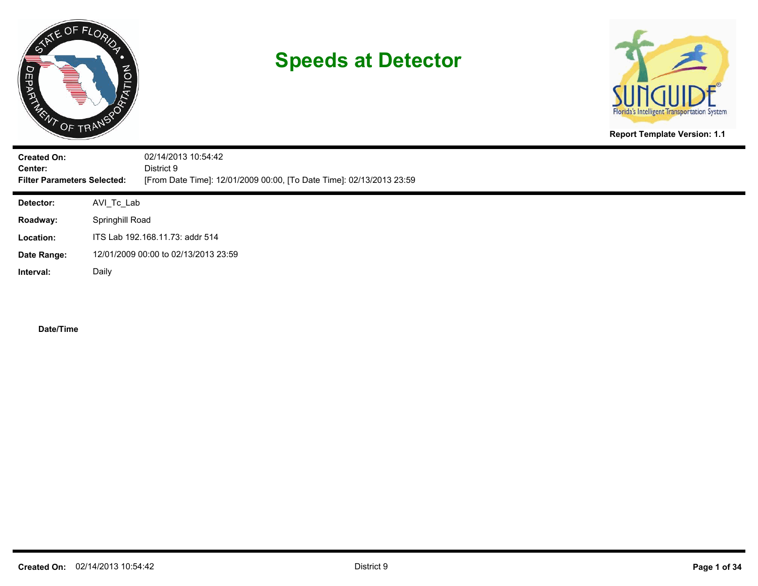



**Report Template Version: 1.1**

| <b>Created On:</b><br>Center:<br><b>Filter Parameters Selected:</b> |            | 02/14/2013 10:54:42<br>District 9<br>[From Date Time]: 12/01/2009 00:00, [To Date Time]: 02/13/2013 23:59 |  |  |  |  |  |
|---------------------------------------------------------------------|------------|-----------------------------------------------------------------------------------------------------------|--|--|--|--|--|
| <b>Detector:</b>                                                    | AVI_Tc_Lab |                                                                                                           |  |  |  |  |  |
| Roadway:                                                            |            | Springhill Road                                                                                           |  |  |  |  |  |
| Location:                                                           |            | ITS Lab 192.168.11.73: addr 514                                                                           |  |  |  |  |  |
| Date Range:                                                         |            | 12/01/2009 00:00 to 02/13/2013 23:59                                                                      |  |  |  |  |  |
| Interval:                                                           | Daily      |                                                                                                           |  |  |  |  |  |
|                                                                     |            |                                                                                                           |  |  |  |  |  |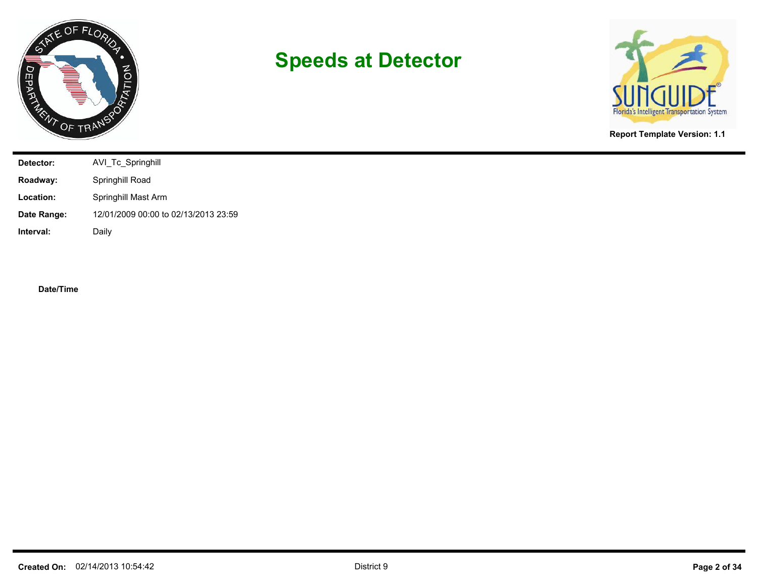



**Report Template Version: 1.1**

| Detector:   | AVI_Tc_Springhill                    |
|-------------|--------------------------------------|
| Roadway:    | Springhill Road                      |
| Location:   | Springhill Mast Arm                  |
| Date Range: | 12/01/2009 00:00 to 02/13/2013 23:59 |
| Interval:   | Daily                                |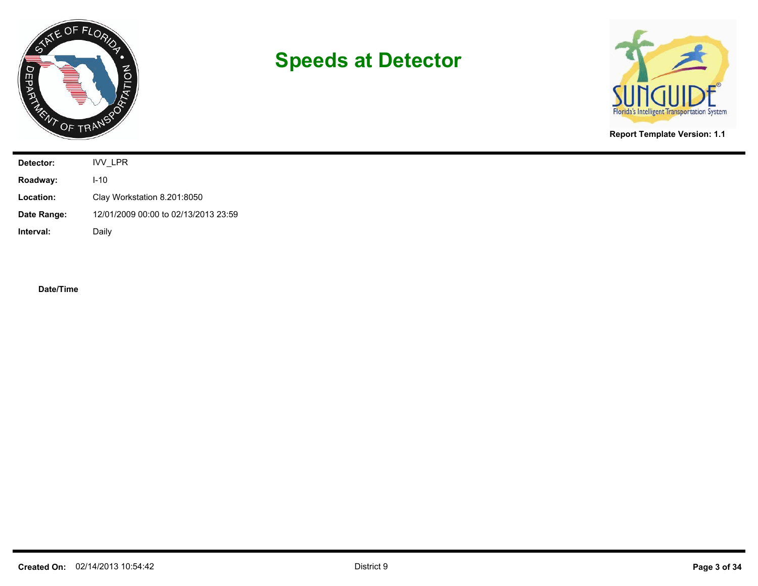



**Report Template Version: 1.1**

| Detector:   | IVV_LPR                              |
|-------------|--------------------------------------|
| Roadway:    | $I-10$                               |
| Location:   | Clay Workstation 8.201:8050          |
| Date Range: | 12/01/2009 00:00 to 02/13/2013 23:59 |
| Interval:   | Daily                                |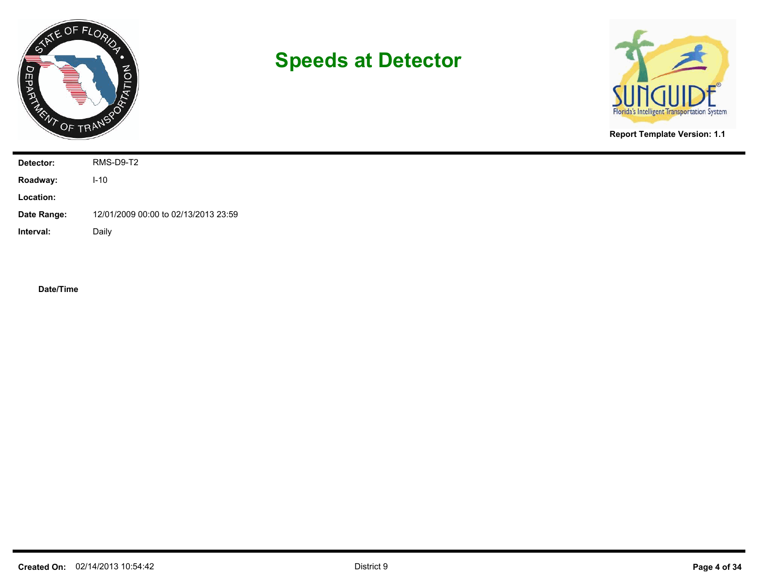



**Report Template Version: 1.1**

| Detector:   | RMS-D9-T2                            |
|-------------|--------------------------------------|
| Roadway:    | $I-10$                               |
| Location:   |                                      |
| Date Range: | 12/01/2009 00:00 to 02/13/2013 23:59 |
| Interval:   | Daily                                |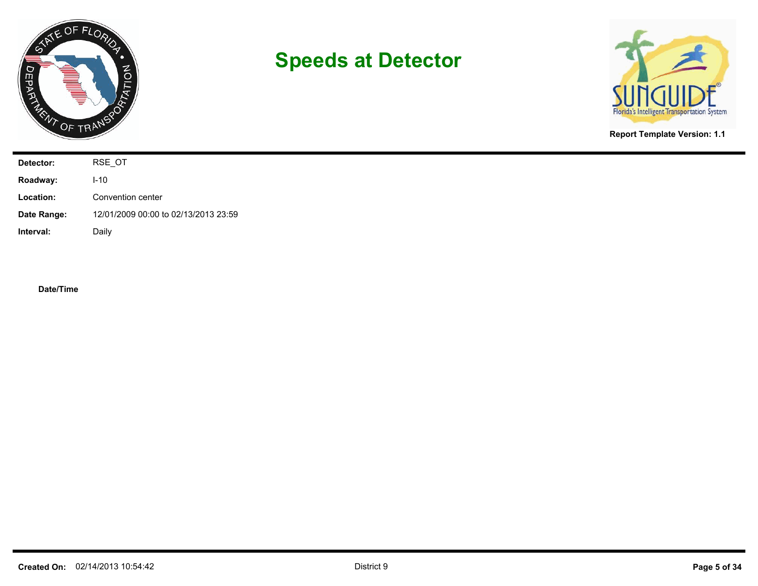



**Report Template Version: 1.1**

| Detector:   | RSE_OT                               |
|-------------|--------------------------------------|
| Roadway:    | $I-10$                               |
| Location:   | Convention center                    |
| Date Range: | 12/01/2009 00:00 to 02/13/2013 23:59 |
| Interval:   | Daily                                |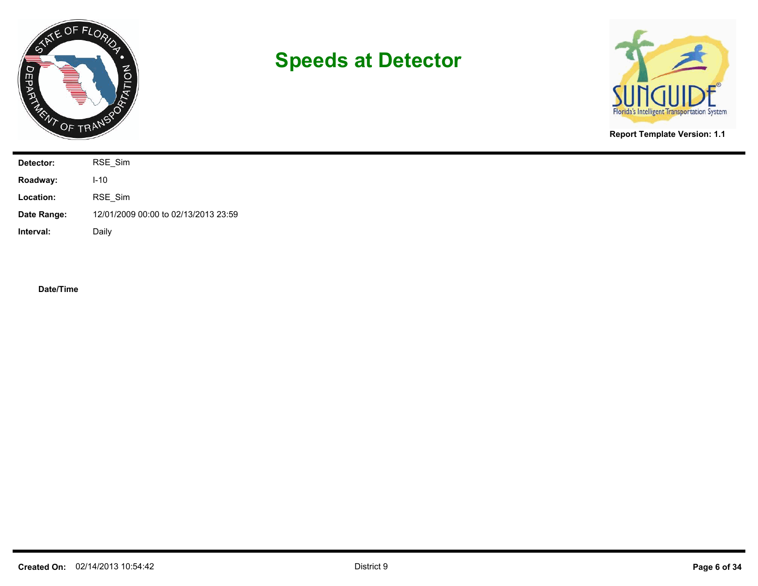



**Report Template Version: 1.1**

| Detector:   | RSE_Sim                              |
|-------------|--------------------------------------|
| Roadway:    | $I-10$                               |
| Location:   | RSE_Sim                              |
| Date Range: | 12/01/2009 00:00 to 02/13/2013 23:59 |
| Interval:   | Daily                                |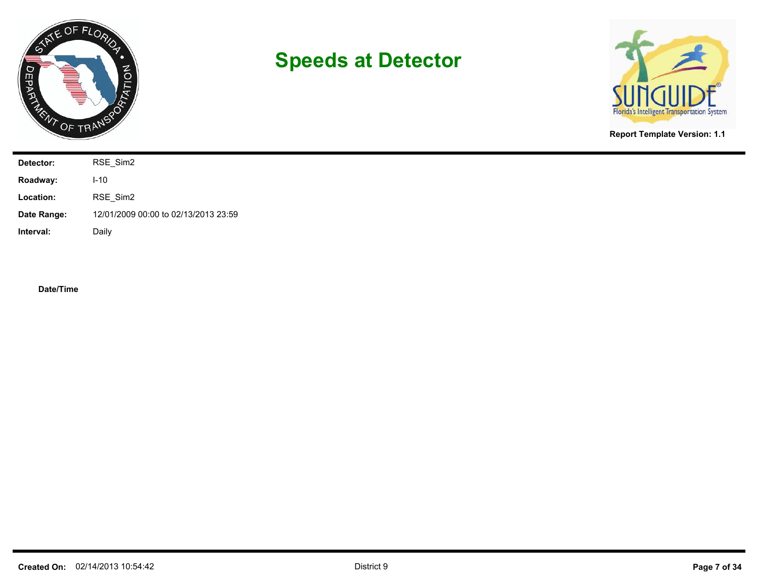



**Report Template Version: 1.1**

| Detector:   | RSE_Sim2                             |
|-------------|--------------------------------------|
| Roadway:    | $I-10$                               |
| Location:   | RSE_Sim2                             |
| Date Range: | 12/01/2009 00:00 to 02/13/2013 23:59 |
| Interval:   | Daily                                |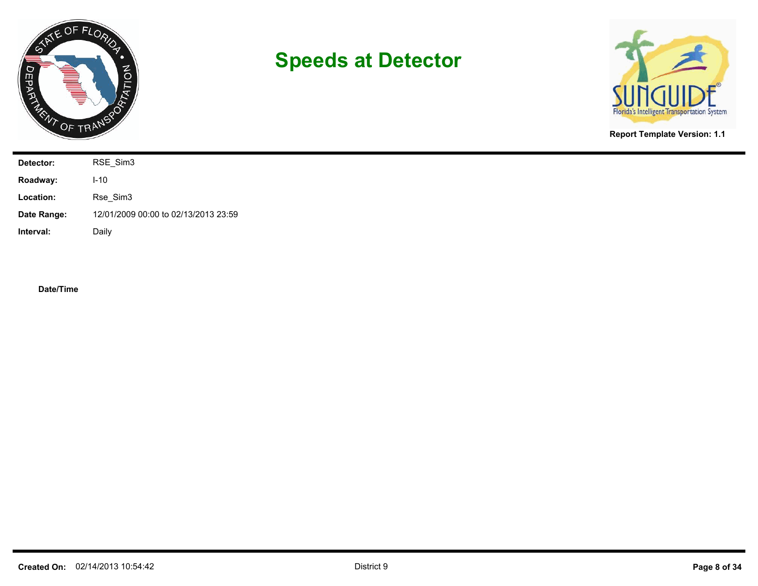



**Report Template Version: 1.1**

| Detector:   | RSE_Sim3                             |
|-------------|--------------------------------------|
| Roadway:    | $I-10$                               |
| Location:   | Rse_Sim3                             |
| Date Range: | 12/01/2009 00:00 to 02/13/2013 23:59 |
| Interval:   | Daily                                |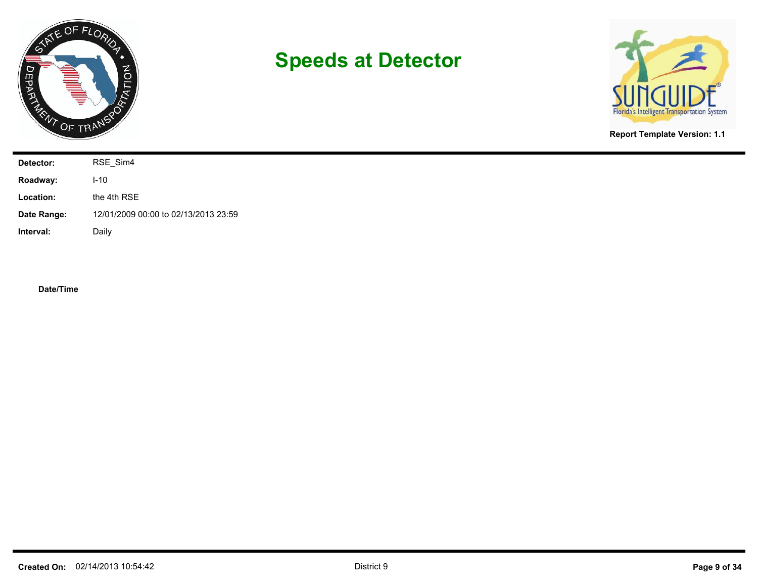



**Report Template Version: 1.1**

| Detector:   | RSE_Sim4                             |
|-------------|--------------------------------------|
| Roadway:    | $I-10$                               |
| Location:   | the 4th RSE                          |
| Date Range: | 12/01/2009 00:00 to 02/13/2013 23:59 |
| Interval:   | Daily                                |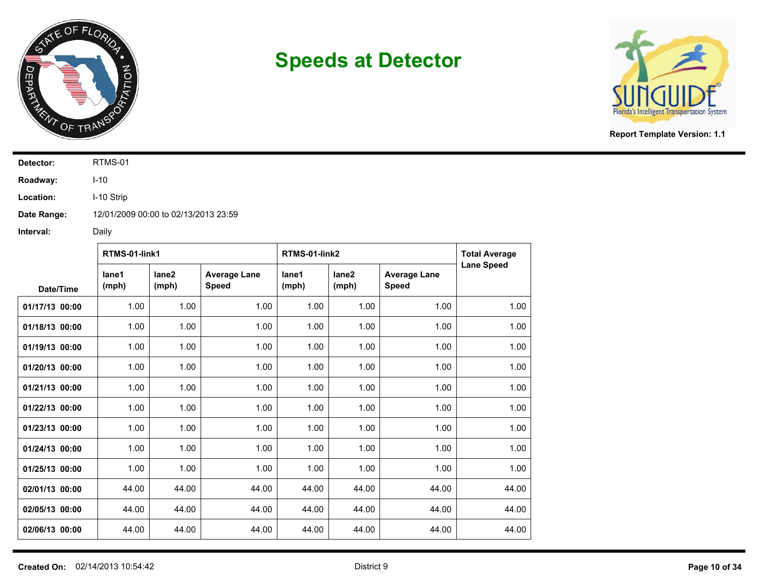



**Report Template Version: 1.1**

**Detector:** RTMS-01

**Roadway:** I-10

**Location:** I-10 Strip

**Date Range:** 12/01/2009 00:00 to 02/13/2013 23:59

|                | RTMS-01-link1  |                            |                                     | RTMS-01-link2  |                            |                                     | <b>Total Average</b> |
|----------------|----------------|----------------------------|-------------------------------------|----------------|----------------------------|-------------------------------------|----------------------|
| Date/Time      | lane1<br>(mph) | lane <sub>2</sub><br>(mph) | <b>Average Lane</b><br><b>Speed</b> | lane1<br>(mph) | lane <sub>2</sub><br>(mph) | <b>Average Lane</b><br><b>Speed</b> | <b>Lane Speed</b>    |
| 01/17/13 00:00 | 1.00           | 1.00                       | 1.00                                | 1.00           | 1.00                       | 1.00                                | 1.00                 |
| 01/18/13 00:00 | 1.00           | 1.00                       | 1.00                                | 1.00           | 1.00                       | 1.00                                | 1.00                 |
| 01/19/13 00:00 | 1.00           | 1.00                       | 1.00                                | 1.00           | 1.00                       | 1.00                                | 1.00                 |
| 01/20/13 00:00 | 1.00           | 1.00                       | 1.00                                | 1.00           | 1.00                       | 1.00                                | 1.00                 |
| 01/21/13 00:00 | 1.00           | 1.00                       | 1.00                                | 1.00           | 1.00                       | 1.00                                | 1.00                 |
| 01/22/13 00:00 | 1.00           | 1.00                       | 1.00                                | 1.00           | 1.00                       | 1.00                                | 1.00                 |
| 01/23/13 00:00 | 1.00           | 1.00                       | 1.00                                | 1.00           | 1.00                       | 1.00                                | 1.00                 |
| 01/24/13 00:00 | 1.00           | 1.00                       | 1.00                                | 1.00           | 1.00                       | 1.00                                | 1.00                 |
| 01/25/13 00:00 | 1.00           | 1.00                       | 1.00                                | 1.00           | 1.00                       | 1.00                                | 1.00                 |
| 02/01/13 00:00 | 44.00          | 44.00                      | 44.00                               | 44.00          | 44.00                      | 44.00                               | 44.00                |
| 02/05/13 00:00 | 44.00          | 44.00                      | 44.00                               | 44.00          | 44.00                      | 44.00                               | 44.00                |
| 02/06/13 00:00 | 44.00          | 44.00                      | 44.00                               | 44.00          | 44.00                      | 44.00                               | 44.00                |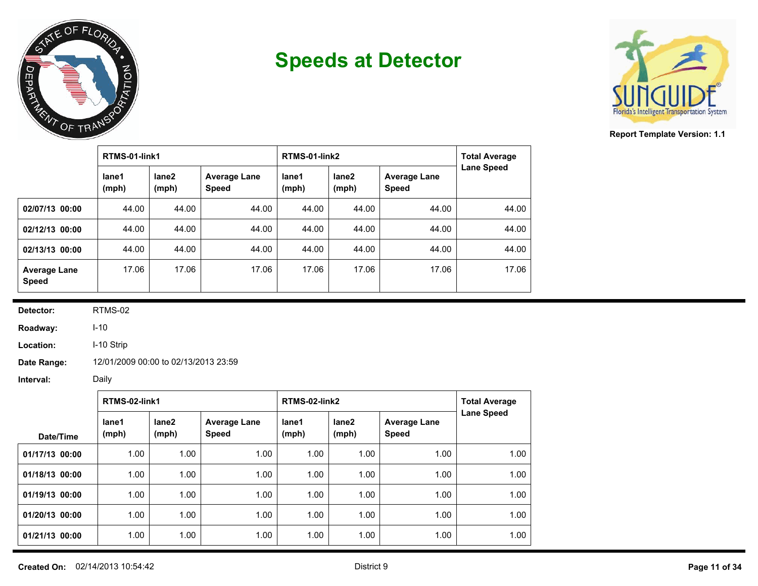



**Report Template Version: 1.1**

|                                     | RTMS-01-link1  |                |                                     | RTMS-01-link2  | <b>Total Average</b>       |                                     |                   |
|-------------------------------------|----------------|----------------|-------------------------------------|----------------|----------------------------|-------------------------------------|-------------------|
|                                     | lane1<br>(mph) | lane2<br>(mph) | <b>Average Lane</b><br><b>Speed</b> | lane1<br>(mph) | lane <sub>2</sub><br>(mph) | <b>Average Lane</b><br><b>Speed</b> | <b>Lane Speed</b> |
| 02/07/13 00:00                      | 44.00          | 44.00          | 44.00                               | 44.00          | 44.00                      | 44.00                               | 44.00             |
| 02/12/13 00:00                      | 44.00          | 44.00          | 44.00                               | 44.00          | 44.00                      | 44.00                               | 44.00             |
| 02/13/13 00:00                      | 44.00          | 44.00          | 44.00                               | 44.00          | 44.00                      | 44.00                               | 44.00             |
| <b>Average Lane</b><br><b>Speed</b> | 17.06          | 17.06          | 17.06                               | 17.06          | 17.06                      | 17.06                               | 17.06             |

**Detector:** RTMS-02

**Roadway:** I-10

**Location:** I-10 Strip

**Date Range:** 12/01/2009 00:00 to 02/13/2013 23:59

|                | RTMS-02-link1  |                            |                                     | RTMS-02-link2  | <b>Total Average</b> |                                     |                   |
|----------------|----------------|----------------------------|-------------------------------------|----------------|----------------------|-------------------------------------|-------------------|
| Date/Time      | lane1<br>(mph) | lane <sub>2</sub><br>(mph) | <b>Average Lane</b><br><b>Speed</b> | lane1<br>(mph) | lane2<br>(mph)       | <b>Average Lane</b><br><b>Speed</b> | <b>Lane Speed</b> |
| 01/17/13 00:00 | 1.00           | 1.00                       | 1.00                                | 1.00           | 1.00                 | 1.00                                | 1.00              |
| 01/18/13 00:00 | 1.00           | 1.00                       | 1.00                                | 1.00           | 1.00                 | 1.00                                | 1.00              |
| 01/19/13 00:00 | 1.00           | 1.00                       | 1.00                                | 1.00           | 1.00                 | 1.00                                | 1.00              |
| 01/20/13 00:00 | 1.00           | 1.00                       | 1.00                                | 1.00           | 1.00                 | 1.00                                | 1.00              |
| 01/21/13 00:00 | 1.00           | 1.00                       | 1.00                                | 1.00           | 1.00                 | 1.00                                | 1.00              |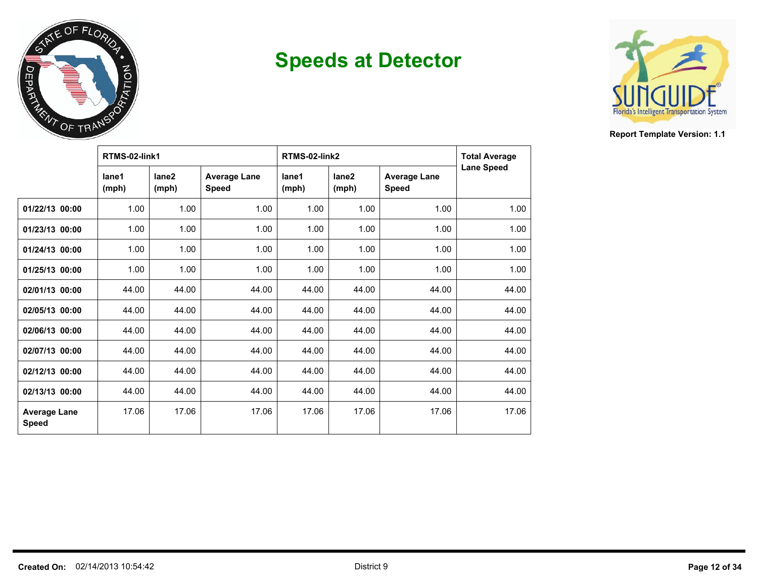



|                                     | RTMS-02-link1  |                            |                                     | RTMS-02-link2  | <b>Total Average</b>       |                                     |                   |
|-------------------------------------|----------------|----------------------------|-------------------------------------|----------------|----------------------------|-------------------------------------|-------------------|
|                                     | lane1<br>(mph) | lane <sub>2</sub><br>(mph) | <b>Average Lane</b><br><b>Speed</b> | lane1<br>(mph) | lane <sub>2</sub><br>(mph) | <b>Average Lane</b><br><b>Speed</b> | <b>Lane Speed</b> |
| 01/22/13 00:00                      | 1.00           | 1.00                       | 1.00                                | 1.00           | 1.00                       | 1.00                                | 1.00              |
| 01/23/13 00:00                      | 1.00           | 1.00                       | 1.00                                | 1.00           | 1.00                       | 1.00                                | 1.00              |
| 01/24/13 00:00                      | 1.00           | 1.00                       | 1.00                                | 1.00           | 1.00                       | 1.00                                | 1.00              |
| 01/25/13 00:00                      | 1.00           | 1.00                       | 1.00                                | 1.00           | 1.00                       | 1.00                                | 1.00              |
| 02/01/13 00:00                      | 44.00          | 44.00                      | 44.00                               | 44.00          | 44.00                      | 44.00                               | 44.00             |
| 02/05/13 00:00                      | 44.00          | 44.00                      | 44.00                               | 44.00          | 44.00                      | 44.00                               | 44.00             |
| 02/06/13 00:00                      | 44.00          | 44.00                      | 44.00                               | 44.00          | 44.00                      | 44.00                               | 44.00             |
| 02/07/13 00:00                      | 44.00          | 44.00                      | 44.00                               | 44.00          | 44.00                      | 44.00                               | 44.00             |
| 02/12/13 00:00                      | 44.00          | 44.00                      | 44.00                               | 44.00          | 44.00                      | 44.00                               | 44.00             |
| 02/13/13 00:00                      | 44.00          | 44.00                      | 44.00                               | 44.00          | 44.00                      | 44.00                               | 44.00             |
| <b>Average Lane</b><br><b>Speed</b> | 17.06          | 17.06                      | 17.06                               | 17.06          | 17.06                      | 17.06                               | 17.06             |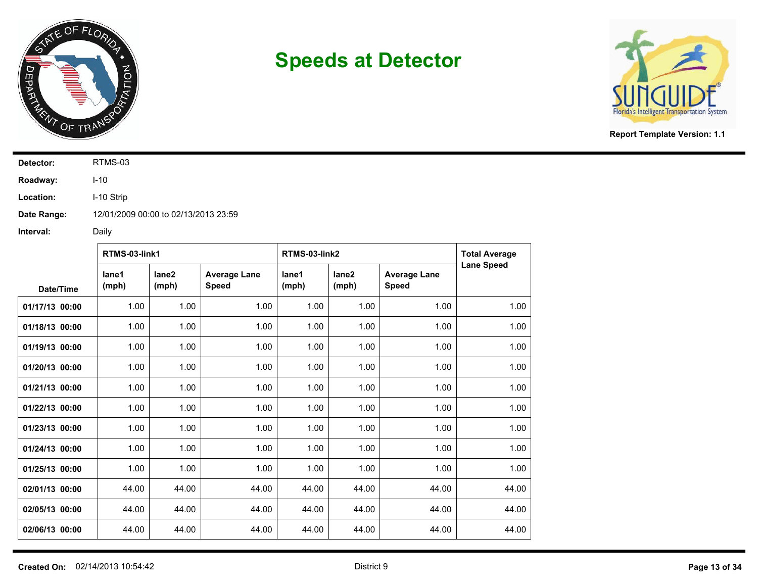



**Report Template Version: 1.1**

**Detector:** RTMS-03

**Roadway:** I-10

**Location:** I-10 Strip

**Date Range:** 12/01/2009 00:00 to 02/13/2013 23:59

|                | RTMS-03-link1  |                            |                                     | RTMS-03-link2  |                            | <b>Total Average</b>                |                   |
|----------------|----------------|----------------------------|-------------------------------------|----------------|----------------------------|-------------------------------------|-------------------|
| Date/Time      | lane1<br>(mph) | lane <sub>2</sub><br>(mph) | <b>Average Lane</b><br><b>Speed</b> | lane1<br>(mph) | lane <sub>2</sub><br>(mph) | <b>Average Lane</b><br><b>Speed</b> | <b>Lane Speed</b> |
| 01/17/13 00:00 | 1.00           | 1.00                       | 1.00                                | 1.00           | 1.00                       | 1.00                                | 1.00              |
| 01/18/13 00:00 | 1.00           | 1.00                       | 1.00                                | 1.00           | 1.00                       | 1.00                                | 1.00              |
| 01/19/13 00:00 | 1.00           | 1.00                       | 1.00                                | 1.00           | 1.00                       | 1.00                                | 1.00              |
| 01/20/13 00:00 | 1.00           | 1.00                       | 1.00                                | 1.00           | 1.00                       | 1.00                                | 1.00              |
| 01/21/13 00:00 | 1.00           | 1.00                       | 1.00                                | 1.00           | 1.00                       | 1.00                                | 1.00              |
| 01/22/13 00:00 | 1.00           | 1.00                       | 1.00                                | 1.00           | 1.00                       | 1.00                                | 1.00              |
| 01/23/13 00:00 | 1.00           | 1.00                       | 1.00                                | 1.00           | 1.00                       | 1.00                                | 1.00              |
| 01/24/13 00:00 | 1.00           | 1.00                       | 1.00                                | 1.00           | 1.00                       | 1.00                                | 1.00              |
| 01/25/13 00:00 | 1.00           | 1.00                       | 1.00                                | 1.00           | 1.00                       | 1.00                                | 1.00              |
| 02/01/13 00:00 | 44.00          | 44.00                      | 44.00                               | 44.00          | 44.00                      | 44.00                               | 44.00             |
| 02/05/13 00:00 | 44.00          | 44.00                      | 44.00                               | 44.00          | 44.00                      | 44.00                               | 44.00             |
| 02/06/13 00:00 | 44.00          | 44.00                      | 44.00                               | 44.00          | 44.00                      | 44.00                               | 44.00             |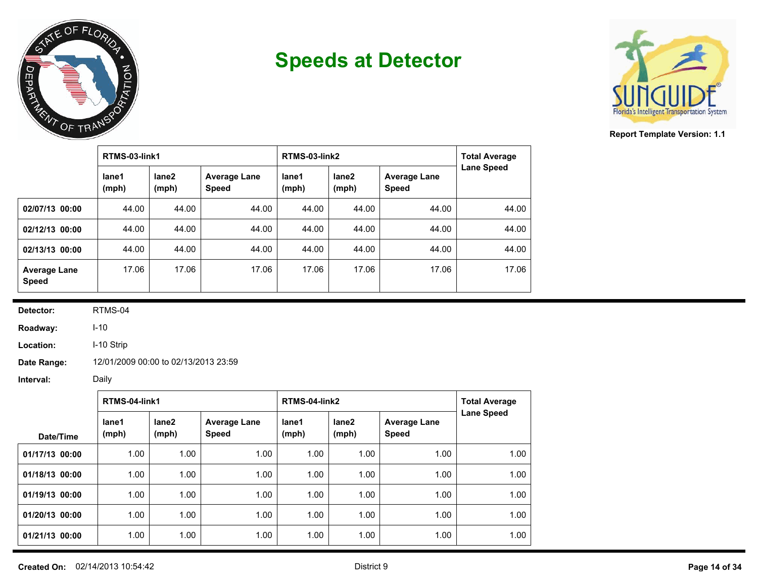



**Report Template Version: 1.1**

|                                     | RTMS-03-link1  |                |                                     | RTMS-03-link2  | <b>Total Average</b> |                                     |                   |
|-------------------------------------|----------------|----------------|-------------------------------------|----------------|----------------------|-------------------------------------|-------------------|
|                                     | lane1<br>(mph) | lane2<br>(mph) | <b>Average Lane</b><br><b>Speed</b> | lane1<br>(mph) | lane2<br>(mph)       | <b>Average Lane</b><br><b>Speed</b> | <b>Lane Speed</b> |
| 02/07/13 00:00                      | 44.00          | 44.00          | 44.00                               | 44.00          | 44.00                | 44.00                               | 44.00             |
| 02/12/13 00:00                      | 44.00          | 44.00          | 44.00                               | 44.00          | 44.00                | 44.00                               | 44.00             |
| 02/13/13 00:00                      | 44.00          | 44.00          | 44.00                               | 44.00          | 44.00                | 44.00                               | 44.00             |
| <b>Average Lane</b><br><b>Speed</b> | 17.06          | 17.06          | 17.06                               | 17.06          | 17.06                | 17.06                               | 17.06             |

**Detector:** RTMS-04

**Roadway:** I-10

**Location:** I-10 Strip

**Date Range:** 12/01/2009 00:00 to 02/13/2013 23:59

|                | RTMS-04-link1  |                |                                     | RTMS-04-link2  |                | <b>Total Average</b>                |                   |
|----------------|----------------|----------------|-------------------------------------|----------------|----------------|-------------------------------------|-------------------|
| Date/Time      | lane1<br>(mph) | lane2<br>(mph) | <b>Average Lane</b><br><b>Speed</b> | lane1<br>(mph) | lane2<br>(mph) | <b>Average Lane</b><br><b>Speed</b> | <b>Lane Speed</b> |
| 01/17/13 00:00 | 1.00           | 1.00           | 1.00                                | 1.00           | 1.00           | 1.00                                | 1.00              |
| 01/18/13 00:00 | 1.00           | 1.00           | 1.00                                | 1.00           | 1.00           | 1.00                                | 1.00              |
| 01/19/13 00:00 | 1.00           | 1.00           | 1.00                                | 1.00           | 1.00           | 1.00                                | 1.00              |
| 01/20/13 00:00 | 1.00           | 1.00           | 1.00                                | 1.00           | 1.00           | 1.00                                | 1.00              |
| 01/21/13 00:00 | 1.00           | 1.00           | 1.00                                | 1.00           | 1.00           | 1.00                                | 1.00              |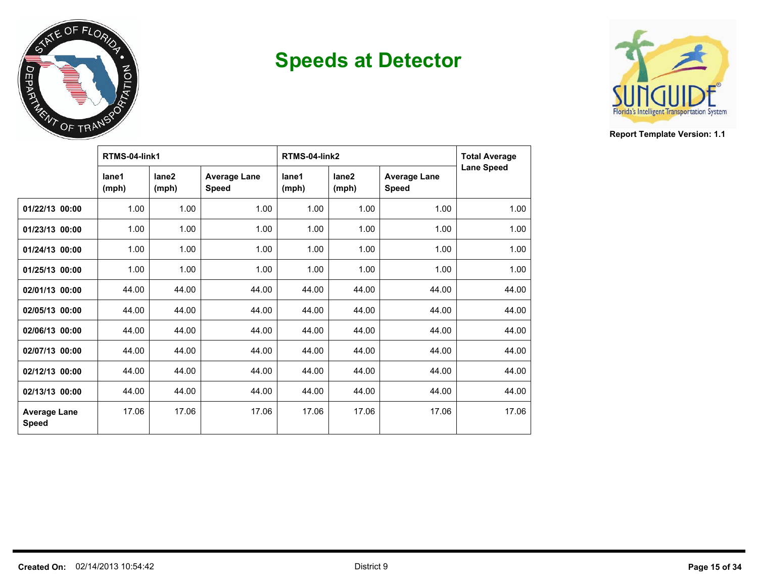



|                                     | RTMS-04-link1  |                            |                              | RTMS-04-link2  | <b>Total Average</b>       |                                     |                   |
|-------------------------------------|----------------|----------------------------|------------------------------|----------------|----------------------------|-------------------------------------|-------------------|
|                                     | lane1<br>(mph) | lane <sub>2</sub><br>(mph) | <b>Average Lane</b><br>Speed | lane1<br>(mph) | lane <sub>2</sub><br>(mph) | <b>Average Lane</b><br><b>Speed</b> | <b>Lane Speed</b> |
| 01/22/13 00:00                      | 1.00           | 1.00                       | 1.00                         | 1.00           | 1.00                       | 1.00                                | 1.00              |
| 01/23/13 00:00                      | 1.00           | 1.00                       | 1.00                         | 1.00           | 1.00                       | 1.00                                | 1.00              |
| 01/24/13 00:00                      | 1.00           | 1.00                       | 1.00                         | 1.00           | 1.00                       | 1.00                                | 1.00              |
| 01/25/13 00:00                      | 1.00           | 1.00                       | 1.00                         | 1.00           | 1.00                       | 1.00                                | 1.00              |
| 02/01/13 00:00                      | 44.00          | 44.00                      | 44.00                        | 44.00          | 44.00                      | 44.00                               | 44.00             |
| 02/05/13 00:00                      | 44.00          | 44.00                      | 44.00                        | 44.00          | 44.00                      | 44.00                               | 44.00             |
| 02/06/13 00:00                      | 44.00          | 44.00                      | 44.00                        | 44.00          | 44.00                      | 44.00                               | 44.00             |
| 02/07/13 00:00                      | 44.00          | 44.00                      | 44.00                        | 44.00          | 44.00                      | 44.00                               | 44.00             |
| 02/12/13 00:00                      | 44.00          | 44.00                      | 44.00                        | 44.00          | 44.00                      | 44.00                               | 44.00             |
| 02/13/13 00:00                      | 44.00          | 44.00                      | 44.00                        | 44.00          | 44.00                      | 44.00                               | 44.00             |
| <b>Average Lane</b><br><b>Speed</b> | 17.06          | 17.06                      | 17.06                        | 17.06          | 17.06                      | 17.06                               | 17.06             |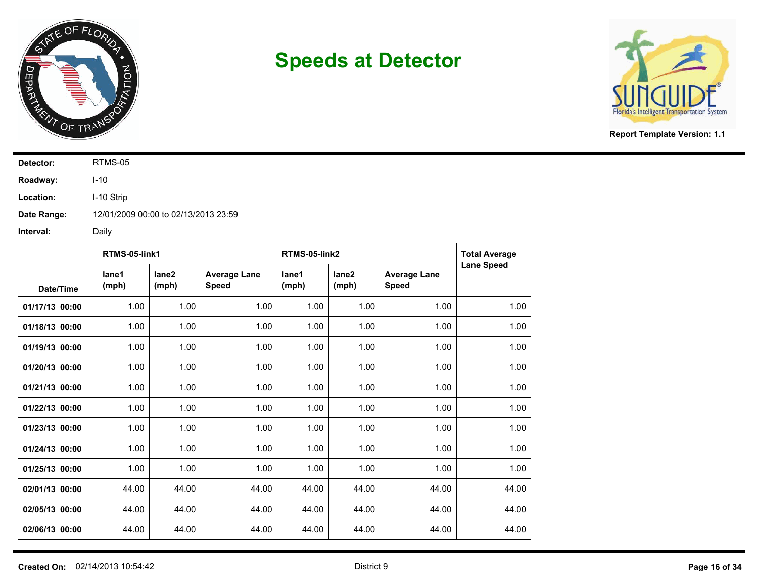



**Report Template Version: 1.1**

**Detector:** RTMS-05

**Roadway:** I-10

**Location:** I-10 Strip

**Date Range:** 12/01/2009 00:00 to 02/13/2013 23:59

|                | RTMS-05-link1  |                            |                                     | RTMS-05-link2  |                            |                                     | <b>Total Average</b> |  |
|----------------|----------------|----------------------------|-------------------------------------|----------------|----------------------------|-------------------------------------|----------------------|--|
| Date/Time      | lane1<br>(mph) | lane <sub>2</sub><br>(mph) | <b>Average Lane</b><br><b>Speed</b> | lane1<br>(mph) | lane <sub>2</sub><br>(mph) | <b>Average Lane</b><br><b>Speed</b> | <b>Lane Speed</b>    |  |
| 01/17/13 00:00 | 1.00           | 1.00                       | 1.00                                | 1.00           | 1.00                       | 1.00                                | 1.00                 |  |
| 01/18/13 00:00 | 1.00           | 1.00                       | 1.00                                | 1.00           | 1.00                       | 1.00                                | 1.00                 |  |
| 01/19/13 00:00 | 1.00           | 1.00                       | 1.00                                | 1.00           | 1.00                       | 1.00                                | 1.00                 |  |
| 01/20/13 00:00 | 1.00           | 1.00                       | 1.00                                | 1.00           | 1.00                       | 1.00                                | 1.00                 |  |
| 01/21/13 00:00 | 1.00           | 1.00                       | 1.00                                | 1.00           | 1.00                       | 1.00                                | 1.00                 |  |
| 01/22/13 00:00 | 1.00           | 1.00                       | 1.00                                | 1.00           | 1.00                       | 1.00                                | 1.00                 |  |
| 01/23/13 00:00 | 1.00           | 1.00                       | 1.00                                | 1.00           | 1.00                       | 1.00                                | 1.00                 |  |
| 01/24/13 00:00 | 1.00           | 1.00                       | 1.00                                | 1.00           | 1.00                       | 1.00                                | 1.00                 |  |
| 01/25/13 00:00 | 1.00           | 1.00                       | 1.00                                | 1.00           | 1.00                       | 1.00                                | 1.00                 |  |
| 02/01/13 00:00 | 44.00          | 44.00                      | 44.00                               | 44.00          | 44.00                      | 44.00                               | 44.00                |  |
| 02/05/13 00:00 | 44.00          | 44.00                      | 44.00                               | 44.00          | 44.00                      | 44.00                               | 44.00                |  |
| 02/06/13 00:00 | 44.00          | 44.00                      | 44.00                               | 44.00          | 44.00                      | 44.00                               | 44.00                |  |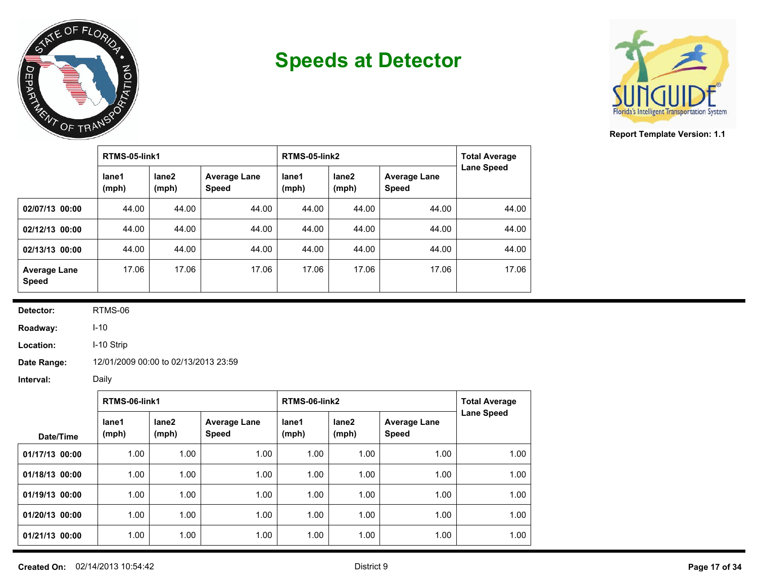



**Report Template Version: 1.1**

|                                     | RTMS-05-link1  |                |                                     | RTMS-05-link2  | <b>Total Average</b> |                                     |                   |
|-------------------------------------|----------------|----------------|-------------------------------------|----------------|----------------------|-------------------------------------|-------------------|
|                                     | lane1<br>(mph) | lane2<br>(mph) | <b>Average Lane</b><br><b>Speed</b> | lane1<br>(mph) | lane2<br>(mph)       | <b>Average Lane</b><br><b>Speed</b> | <b>Lane Speed</b> |
| 02/07/13 00:00                      | 44.00          | 44.00          | 44.00                               | 44.00          | 44.00                | 44.00                               | 44.00             |
| 02/12/13 00:00                      | 44.00          | 44.00          | 44.00                               | 44.00          | 44.00                | 44.00                               | 44.00             |
| 02/13/13 00:00                      | 44.00          | 44.00          | 44.00                               | 44.00          | 44.00                | 44.00                               | 44.00             |
| <b>Average Lane</b><br><b>Speed</b> | 17.06          | 17.06          | 17.06                               | 17.06          | 17.06                | 17.06                               | 17.06             |

**Detector:** RTMS-06

**Roadway:** I-10

**Location:** I-10 Strip

**Date Range:** 12/01/2009 00:00 to 02/13/2013 23:59

|                | RTMS-06-link1  |                            |                                     | RTMS-06-link2  |                | <b>Total Average</b>                |                   |
|----------------|----------------|----------------------------|-------------------------------------|----------------|----------------|-------------------------------------|-------------------|
| Date/Time      | lane1<br>(mph) | lane <sub>2</sub><br>(mph) | <b>Average Lane</b><br><b>Speed</b> | lane1<br>(mph) | lane2<br>(mph) | <b>Average Lane</b><br><b>Speed</b> | <b>Lane Speed</b> |
| 01/17/13 00:00 | 1.00           | 1.00                       | 1.00                                | 1.00           | 1.00           | 1.00                                | 1.00              |
| 01/18/13 00:00 | 1.00           | 1.00                       | 1.00                                | 1.00           | 1.00           | 1.00                                | 1.00              |
| 01/19/13 00:00 | 1.00           | 1.00                       | 1.00                                | 1.00           | 1.00           | 1.00                                | 1.00              |
| 01/20/13 00:00 | 1.00           | 1.00                       | 1.00                                | 1.00           | 1.00           | 1.00                                | 1.00              |
| 01/21/13 00:00 | 1.00           | 1.00                       | 1.00                                | 1.00           | 1.00           | 1.00                                | 1.00              |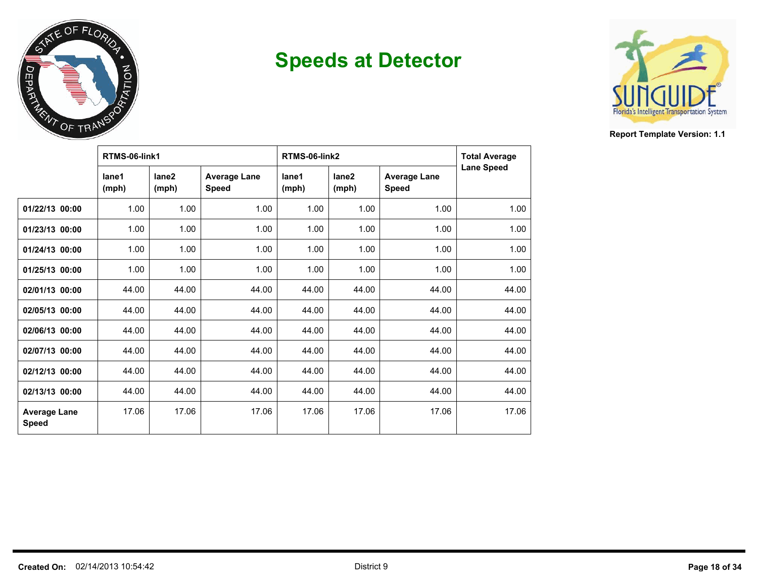



|                                     | RTMS-06-link1  |                            |                                     | RTMS-06-link2  | <b>Total Average</b>       |                                     |                   |
|-------------------------------------|----------------|----------------------------|-------------------------------------|----------------|----------------------------|-------------------------------------|-------------------|
|                                     | lane1<br>(mph) | lane <sub>2</sub><br>(mph) | <b>Average Lane</b><br><b>Speed</b> | lane1<br>(mph) | lane <sub>2</sub><br>(mph) | <b>Average Lane</b><br><b>Speed</b> | <b>Lane Speed</b> |
| 01/22/13 00:00                      | 1.00           | 1.00                       | 1.00                                | 1.00           | 1.00                       | 1.00                                | 1.00              |
| 01/23/13 00:00                      | 1.00           | 1.00                       | 1.00                                | 1.00           | 1.00                       | 1.00                                | 1.00              |
| 01/24/13 00:00                      | 1.00           | 1.00                       | 1.00                                | 1.00           | 1.00                       | 1.00                                | 1.00              |
| 01/25/13 00:00                      | 1.00           | 1.00                       | 1.00                                | 1.00           | 1.00                       | 1.00                                | 1.00              |
| 02/01/13 00:00                      | 44.00          | 44.00                      | 44.00                               | 44.00          | 44.00                      | 44.00                               | 44.00             |
| 02/05/13 00:00                      | 44.00          | 44.00                      | 44.00                               | 44.00          | 44.00                      | 44.00                               | 44.00             |
| 02/06/13 00:00                      | 44.00          | 44.00                      | 44.00                               | 44.00          | 44.00                      | 44.00                               | 44.00             |
| 02/07/13 00:00                      | 44.00          | 44.00                      | 44.00                               | 44.00          | 44.00                      | 44.00                               | 44.00             |
| 02/12/13 00:00                      | 44.00          | 44.00                      | 44.00                               | 44.00          | 44.00                      | 44.00                               | 44.00             |
| 02/13/13 00:00                      | 44.00          | 44.00                      | 44.00                               | 44.00          | 44.00                      | 44.00                               | 44.00             |
| <b>Average Lane</b><br><b>Speed</b> | 17.06          | 17.06                      | 17.06                               | 17.06          | 17.06                      | 17.06                               | 17.06             |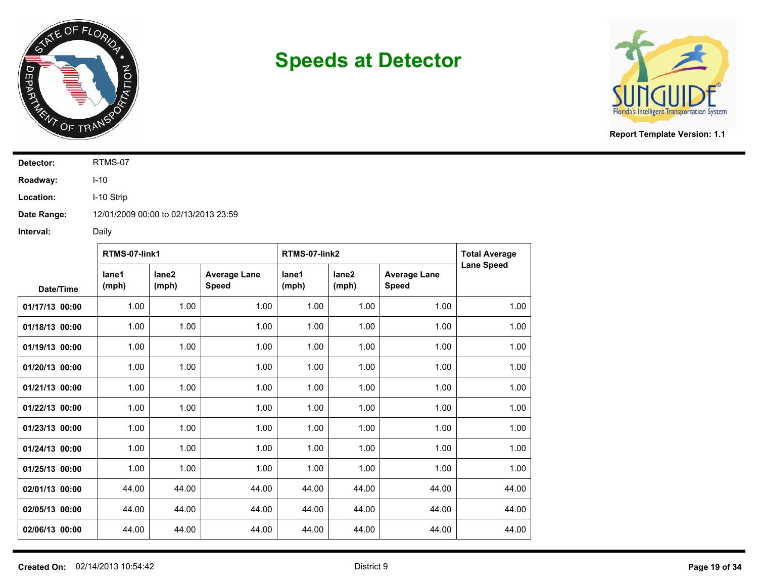



**Report Template Version: 1.1**

**Detector:** RTMS-07

**Roadway:** I-10

**Location:** I-10 Strip

**Date Range:** 12/01/2009 00:00 to 02/13/2013 23:59

|                | RTMS-07-link1  |                            |                                     | RTMS-07-link2  |                | <b>Total Average</b>                |                   |
|----------------|----------------|----------------------------|-------------------------------------|----------------|----------------|-------------------------------------|-------------------|
| Date/Time      | lane1<br>(mph) | lane <sub>2</sub><br>(mph) | <b>Average Lane</b><br><b>Speed</b> | lane1<br>(mph) | lane2<br>(mph) | <b>Average Lane</b><br><b>Speed</b> | <b>Lane Speed</b> |
| 01/17/13 00:00 | 1.00           | 1.00                       | 1.00                                | 1.00           | 1.00           | 1.00                                | 1.00              |
| 01/18/13 00:00 | 1.00           | 1.00                       | 1.00                                | 1.00           | 1.00           | 1.00                                | 1.00              |
| 01/19/13 00:00 | 1.00           | 1.00                       | 1.00                                | 1.00           | 1.00           | 1.00                                | 1.00              |
| 01/20/13 00:00 | 1.00           | 1.00                       | 1.00                                | 1.00           | 1.00           | 1.00                                | 1.00              |
| 01/21/13 00:00 | 1.00           | 1.00                       | 1.00                                | 1.00           | 1.00           | 1.00                                | 1.00              |
| 01/22/13 00:00 | 1.00           | 1.00                       | 1.00                                | 1.00           | 1.00           | 1.00                                | 1.00              |
| 01/23/13 00:00 | 1.00           | 1.00                       | 1.00                                | 1.00           | 1.00           | 1.00                                | 1.00              |
| 01/24/13 00:00 | 1.00           | 1.00                       | 1.00                                | 1.00           | 1.00           | 1.00                                | 1.00              |
| 01/25/13 00:00 | 1.00           | 1.00                       | 1.00                                | 1.00           | 1.00           | 1.00                                | 1.00              |
| 02/01/13 00:00 | 44.00          | 44.00                      | 44.00                               | 44.00          | 44.00          | 44.00                               | 44.00             |
| 02/05/13 00:00 | 44.00          | 44.00                      | 44.00                               | 44.00          | 44.00          | 44.00                               | 44.00             |
| 02/06/13 00:00 | 44.00          | 44.00                      | 44.00                               | 44.00          | 44.00          | 44.00                               | 44.00             |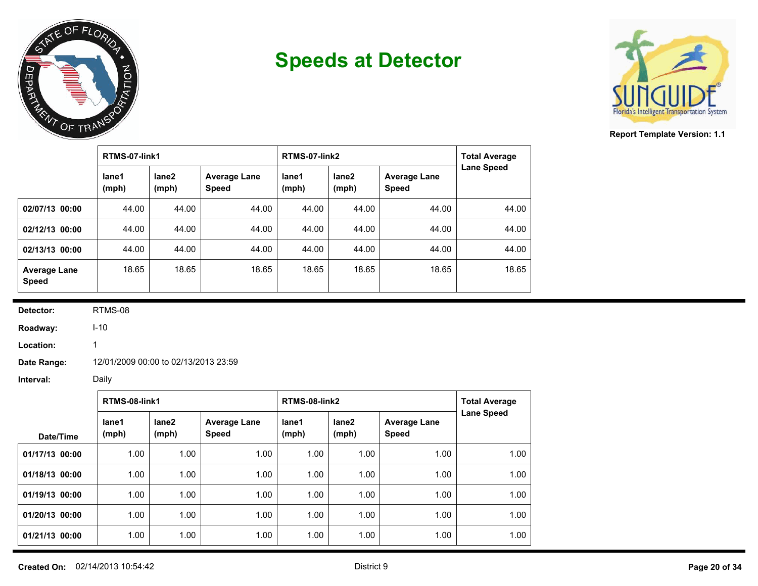



**Report Template Version: 1.1**

|                                     | RTMS-07-link1  |                |                                     | RTMS-07-link2  | <b>Total Average</b>       |                                     |                   |
|-------------------------------------|----------------|----------------|-------------------------------------|----------------|----------------------------|-------------------------------------|-------------------|
|                                     | lane1<br>(mph) | lane2<br>(mph) | <b>Average Lane</b><br><b>Speed</b> | lane1<br>(mph) | lane <sub>2</sub><br>(mph) | <b>Average Lane</b><br><b>Speed</b> | <b>Lane Speed</b> |
| 02/07/13 00:00                      | 44.00          | 44.00          | 44.00                               | 44.00          | 44.00                      | 44.00                               | 44.00             |
| 02/12/13 00:00                      | 44.00          | 44.00          | 44.00                               | 44.00          | 44.00                      | 44.00                               | 44.00             |
| 02/13/13 00:00                      | 44.00          | 44.00          | 44.00                               | 44.00          | 44.00                      | 44.00                               | 44.00             |
| <b>Average Lane</b><br><b>Speed</b> | 18.65          | 18.65          | 18.65                               | 18.65          | 18.65                      | 18.65                               | 18.65             |

**Detector:** RTMS-08

**Roadway:**

**Location:**

**Date Range:** 12/01/2009 00:00 to 02/13/2013 23:59

I-10 1

|                | RTMS-08-link1  |                            |                                     | RTMS-08-link2  | <b>Total Average</b> |                                     |                   |
|----------------|----------------|----------------------------|-------------------------------------|----------------|----------------------|-------------------------------------|-------------------|
| Date/Time      | lane1<br>(mph) | lane <sub>2</sub><br>(mph) | <b>Average Lane</b><br><b>Speed</b> | lane1<br>(mph) | lane2<br>(mph)       | <b>Average Lane</b><br><b>Speed</b> | <b>Lane Speed</b> |
| 01/17/13 00:00 | 1.00           | 1.00                       | 1.00                                | 1.00           | 1.00                 | 1.00                                | 1.00              |
| 01/18/13 00:00 | 1.00           | 1.00                       | 1.00                                | 1.00           | 1.00                 | 1.00                                | 1.00              |
| 01/19/13 00:00 | 1.00           | 1.00                       | 1.00                                | 1.00           | 1.00                 | 1.00                                | 1.00              |
| 01/20/13 00:00 | 1.00           | 1.00                       | 1.00                                | 1.00           | 1.00                 | 1.00                                | 1.00              |
| 01/21/13 00:00 | 1.00           | 1.00                       | 1.00                                | 1.00           | 1.00                 | 1.00                                | 1.00              |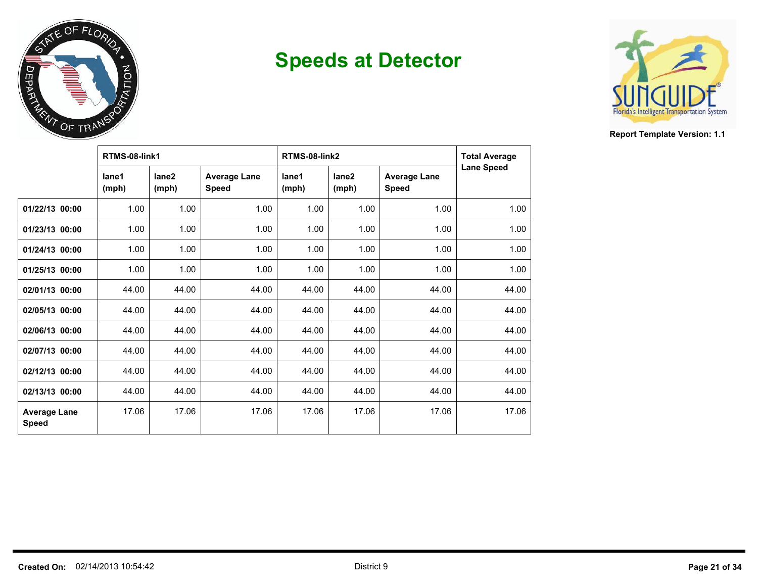



|                                     | RTMS-08-link1  |                            |                              | RTMS-08-link2  | <b>Total Average</b>       |                                     |                   |
|-------------------------------------|----------------|----------------------------|------------------------------|----------------|----------------------------|-------------------------------------|-------------------|
|                                     | lane1<br>(mph) | lane <sub>2</sub><br>(mph) | <b>Average Lane</b><br>Speed | lane1<br>(mph) | lane <sub>2</sub><br>(mph) | <b>Average Lane</b><br><b>Speed</b> | <b>Lane Speed</b> |
| 01/22/13 00:00                      | 1.00           | 1.00                       | 1.00                         | 1.00           | 1.00                       | 1.00                                | 1.00              |
| 01/23/13 00:00                      | 1.00           | 1.00                       | 1.00                         | 1.00           | 1.00                       | 1.00                                | 1.00              |
| 01/24/13 00:00                      | 1.00           | 1.00                       | 1.00                         | 1.00           | 1.00                       | 1.00                                | 1.00              |
| 01/25/13 00:00                      | 1.00           | 1.00                       | 1.00                         | 1.00           | 1.00                       | 1.00                                | 1.00              |
| 02/01/13 00:00                      | 44.00          | 44.00                      | 44.00                        | 44.00          | 44.00                      | 44.00                               | 44.00             |
| 02/05/13 00:00                      | 44.00          | 44.00                      | 44.00                        | 44.00          | 44.00                      | 44.00                               | 44.00             |
| 02/06/13 00:00                      | 44.00          | 44.00                      | 44.00                        | 44.00          | 44.00                      | 44.00                               | 44.00             |
| 02/07/13 00:00                      | 44.00          | 44.00                      | 44.00                        | 44.00          | 44.00                      | 44.00                               | 44.00             |
| 02/12/13 00:00                      | 44.00          | 44.00                      | 44.00                        | 44.00          | 44.00                      | 44.00                               | 44.00             |
| 02/13/13 00:00                      | 44.00          | 44.00                      | 44.00                        | 44.00          | 44.00                      | 44.00                               | 44.00             |
| <b>Average Lane</b><br><b>Speed</b> | 17.06          | 17.06                      | 17.06                        | 17.06          | 17.06                      | 17.06                               | 17.06             |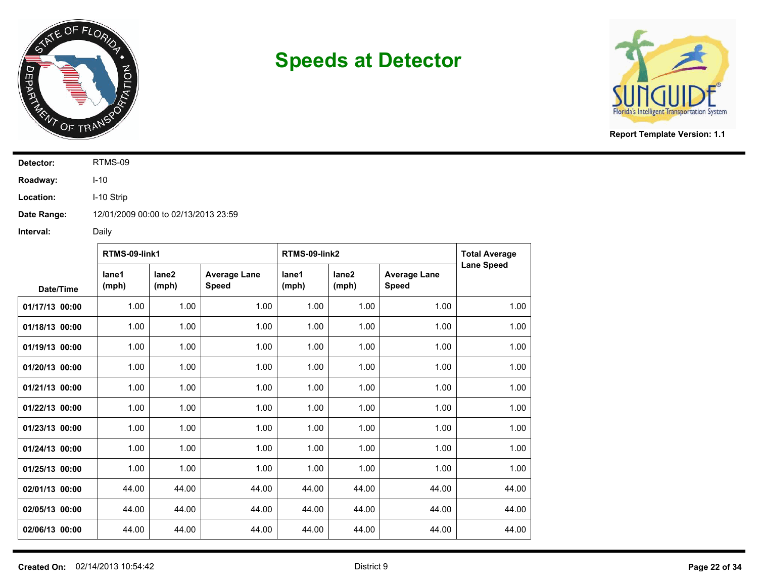



**Report Template Version: 1.1**

**Detector:** RTMS-09

**Roadway:** I-10

**Location:** I-10 Strip

**Date Range:** 12/01/2009 00:00 to 02/13/2013 23:59

|                | RTMS-09-link1  |                            |                                     | RTMS-09-link2  |                            |                                     | <b>Total Average</b> |  |
|----------------|----------------|----------------------------|-------------------------------------|----------------|----------------------------|-------------------------------------|----------------------|--|
| Date/Time      | lane1<br>(mph) | lane <sub>2</sub><br>(mph) | <b>Average Lane</b><br><b>Speed</b> | lane1<br>(mph) | lane <sub>2</sub><br>(mph) | <b>Average Lane</b><br><b>Speed</b> | <b>Lane Speed</b>    |  |
| 01/17/13 00:00 | 1.00           | 1.00                       | 1.00                                | 1.00           | 1.00                       | 1.00                                | 1.00                 |  |
| 01/18/13 00:00 | 1.00           | 1.00                       | 1.00                                | 1.00           | 1.00                       | 1.00                                | 1.00                 |  |
| 01/19/13 00:00 | 1.00           | 1.00                       | 1.00                                | 1.00           | 1.00                       | 1.00                                | 1.00                 |  |
| 01/20/13 00:00 | 1.00           | 1.00                       | 1.00                                | 1.00           | 1.00                       | 1.00                                | 1.00                 |  |
| 01/21/13 00:00 | 1.00           | 1.00                       | 1.00                                | 1.00           | 1.00                       | 1.00                                | 1.00                 |  |
| 01/22/13 00:00 | 1.00           | 1.00                       | 1.00                                | 1.00           | 1.00                       | 1.00                                | 1.00                 |  |
| 01/23/13 00:00 | 1.00           | 1.00                       | 1.00                                | 1.00           | 1.00                       | 1.00                                | 1.00                 |  |
| 01/24/13 00:00 | 1.00           | 1.00                       | 1.00                                | 1.00           | 1.00                       | 1.00                                | 1.00                 |  |
| 01/25/13 00:00 | 1.00           | 1.00                       | 1.00                                | 1.00           | 1.00                       | 1.00                                | 1.00                 |  |
| 02/01/13 00:00 | 44.00          | 44.00                      | 44.00                               | 44.00          | 44.00                      | 44.00                               | 44.00                |  |
| 02/05/13 00:00 | 44.00          | 44.00                      | 44.00                               | 44.00          | 44.00                      | 44.00                               | 44.00                |  |
| 02/06/13 00:00 | 44.00          | 44.00                      | 44.00                               | 44.00          | 44.00                      | 44.00                               | 44.00                |  |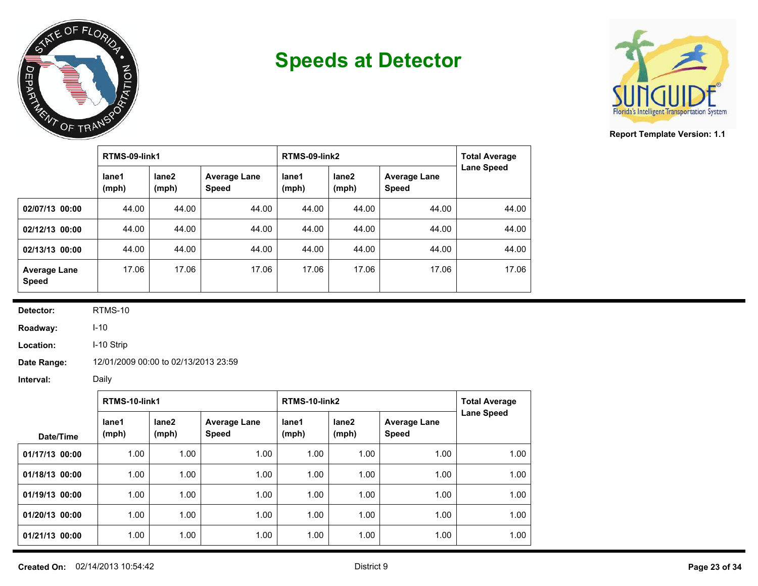



**Report Template Version: 1.1**

|                                     | RTMS-09-link1  |                |                                     | RTMS-09-link2  | <b>Total Average</b> |                                     |                   |
|-------------------------------------|----------------|----------------|-------------------------------------|----------------|----------------------|-------------------------------------|-------------------|
|                                     | lane1<br>(mph) | lane2<br>(mph) | <b>Average Lane</b><br><b>Speed</b> | lane1<br>(mph) | lane2<br>(mph)       | <b>Average Lane</b><br><b>Speed</b> | <b>Lane Speed</b> |
| 02/07/13 00:00                      | 44.00          | 44.00          | 44.00                               | 44.00          | 44.00                | 44.00                               | 44.00             |
| 02/12/13 00:00                      | 44.00          | 44.00          | 44.00                               | 44.00          | 44.00                | 44.00                               | 44.00             |
| 02/13/13 00:00                      | 44.00          | 44.00          | 44.00                               | 44.00          | 44.00                | 44.00                               | 44.00             |
| <b>Average Lane</b><br><b>Speed</b> | 17.06          | 17.06          | 17.06                               | 17.06          | 17.06                | 17.06                               | 17.06             |

**Detector:** RTMS-10

**Roadway:** I-10

**Location:** I-10 Strip

**Date Range:** 12/01/2009 00:00 to 02/13/2013 23:59

|                | RTMS-10-link1  |                            |                                     | RTMS-10-link2  |                | <b>Total Average</b>                |                   |
|----------------|----------------|----------------------------|-------------------------------------|----------------|----------------|-------------------------------------|-------------------|
| Date/Time      | lane1<br>(mph) | lane <sub>2</sub><br>(mph) | <b>Average Lane</b><br><b>Speed</b> | lane1<br>(mph) | lane2<br>(mph) | <b>Average Lane</b><br><b>Speed</b> | <b>Lane Speed</b> |
| 01/17/13 00:00 | 1.00           | 1.00                       | 1.00                                | 1.00           | 1.00           | 1.00                                | 1.00              |
| 01/18/13 00:00 | 1.00           | 1.00                       | 1.00                                | 1.00           | 1.00           | 1.00                                | 1.00              |
| 01/19/13 00:00 | 1.00           | 1.00                       | 1.00                                | 1.00           | 1.00           | 1.00                                | 1.00              |
| 01/20/13 00:00 | 1.00           | 1.00                       | 1.00                                | 1.00           | 1.00           | 1.00                                | 1.00              |
| 01/21/13 00:00 | 1.00           | 1.00                       | 1.00                                | 1.00           | 1.00           | 1.00                                | 1.00              |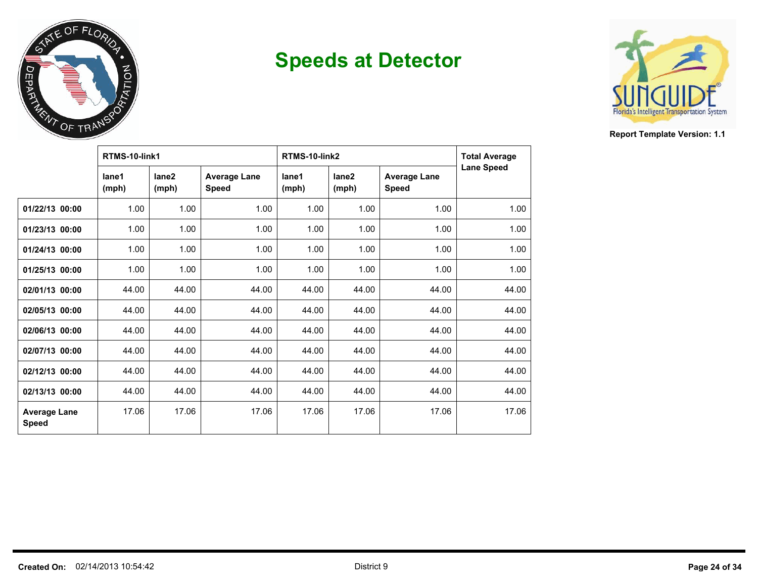



|                                     | RTMS-10-link1  |                            |                                     | RTMS-10-link2  | <b>Total Average</b>       |                                     |                   |
|-------------------------------------|----------------|----------------------------|-------------------------------------|----------------|----------------------------|-------------------------------------|-------------------|
|                                     | lane1<br>(mph) | lane <sub>2</sub><br>(mph) | <b>Average Lane</b><br><b>Speed</b> | lane1<br>(mph) | lane <sub>2</sub><br>(mph) | <b>Average Lane</b><br><b>Speed</b> | <b>Lane Speed</b> |
| 01/22/13 00:00                      | 1.00           | 1.00                       | 1.00                                | 1.00           | 1.00                       | 1.00                                | 1.00              |
| 01/23/13 00:00                      | 1.00           | 1.00                       | 1.00                                | 1.00           | 1.00                       | 1.00                                | 1.00              |
| 01/24/13 00:00                      | 1.00           | 1.00                       | 1.00                                | 1.00           | 1.00                       | 1.00                                | 1.00              |
| 01/25/13 00:00                      | 1.00           | 1.00                       | 1.00                                | 1.00           | 1.00                       | 1.00                                | 1.00              |
| 02/01/13 00:00                      | 44.00          | 44.00                      | 44.00                               | 44.00          | 44.00                      | 44.00                               | 44.00             |
| 02/05/13 00:00                      | 44.00          | 44.00                      | 44.00                               | 44.00          | 44.00                      | 44.00                               | 44.00             |
| 02/06/13 00:00                      | 44.00          | 44.00                      | 44.00                               | 44.00          | 44.00                      | 44.00                               | 44.00             |
| 02/07/13 00:00                      | 44.00          | 44.00                      | 44.00                               | 44.00          | 44.00                      | 44.00                               | 44.00             |
| 02/12/13 00:00                      | 44.00          | 44.00                      | 44.00                               | 44.00          | 44.00                      | 44.00                               | 44.00             |
| 02/13/13 00:00                      | 44.00          | 44.00                      | 44.00                               | 44.00          | 44.00                      | 44.00                               | 44.00             |
| <b>Average Lane</b><br><b>Speed</b> | 17.06          | 17.06                      | 17.06                               | 17.06          | 17.06                      | 17.06                               | 17.06             |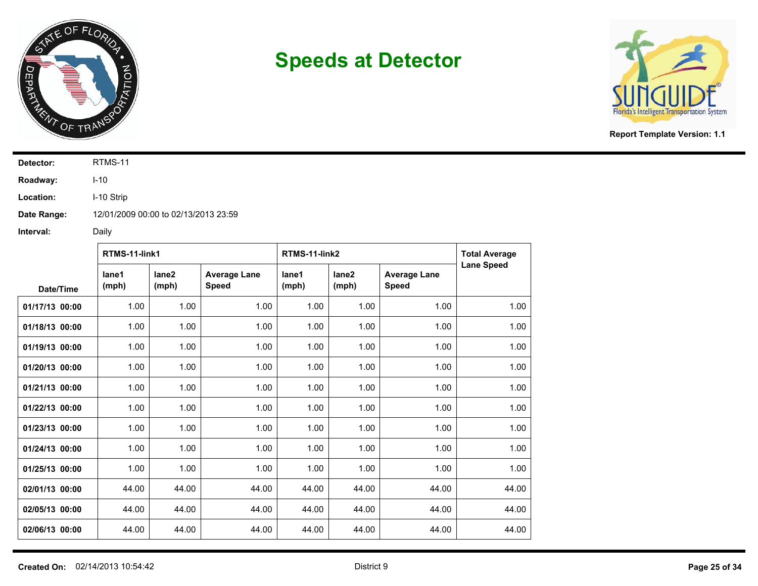



**Report Template Version: 1.1**

**Detector:** RTMS-11

**Roadway:** I-10

**Location:** I-10 Strip

**Date Range:** 12/01/2009 00:00 to 02/13/2013 23:59

|                | RTMS-11-link1  |                            |                                     | RTMS-11-link2  |                            |                                     | <b>Total Average</b> |
|----------------|----------------|----------------------------|-------------------------------------|----------------|----------------------------|-------------------------------------|----------------------|
| Date/Time      | lane1<br>(mph) | lane <sub>2</sub><br>(mph) | <b>Average Lane</b><br><b>Speed</b> | lane1<br>(mph) | lane <sub>2</sub><br>(mph) | <b>Average Lane</b><br><b>Speed</b> | <b>Lane Speed</b>    |
| 01/17/13 00:00 | 1.00           | 1.00                       | 1.00                                | 1.00           | 1.00                       | 1.00                                | 1.00                 |
| 01/18/13 00:00 | 1.00           | 1.00                       | 1.00                                | 1.00           | 1.00                       | 1.00                                | 1.00                 |
| 01/19/13 00:00 | 1.00           | 1.00                       | 1.00                                | 1.00           | 1.00                       | 1.00                                | 1.00                 |
| 01/20/13 00:00 | 1.00           | 1.00                       | 1.00                                | 1.00           | 1.00                       | 1.00                                | 1.00                 |
| 01/21/13 00:00 | 1.00           | 1.00                       | 1.00                                | 1.00           | 1.00                       | 1.00                                | 1.00                 |
| 01/22/13 00:00 | 1.00           | 1.00                       | 1.00                                | 1.00           | 1.00                       | 1.00                                | 1.00                 |
| 01/23/13 00:00 | 1.00           | 1.00                       | 1.00                                | 1.00           | 1.00                       | 1.00                                | 1.00                 |
| 01/24/13 00:00 | 1.00           | 1.00                       | 1.00                                | 1.00           | 1.00                       | 1.00                                | 1.00                 |
| 01/25/13 00:00 | 1.00           | 1.00                       | 1.00                                | 1.00           | 1.00                       | 1.00                                | 1.00                 |
| 02/01/13 00:00 | 44.00          | 44.00                      | 44.00                               | 44.00          | 44.00                      | 44.00                               | 44.00                |
| 02/05/13 00:00 | 44.00          | 44.00                      | 44.00                               | 44.00          | 44.00                      | 44.00                               | 44.00                |
| 02/06/13 00:00 | 44.00          | 44.00                      | 44.00                               | 44.00          | 44.00                      | 44.00                               | 44.00                |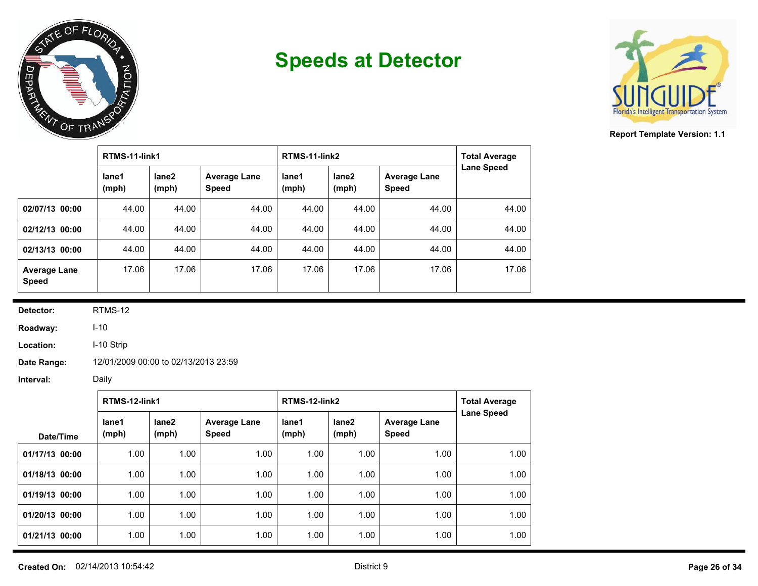



**Report Template Version: 1.1**

|                                     | RTMS-11-link1  |                |                                     | RTMS-11-link2  | <b>Total Average</b> |                                     |                   |
|-------------------------------------|----------------|----------------|-------------------------------------|----------------|----------------------|-------------------------------------|-------------------|
|                                     | lane1<br>(mph) | lane2<br>(mph) | <b>Average Lane</b><br><b>Speed</b> | lane1<br>(mph) | lane2<br>(mph)       | <b>Average Lane</b><br><b>Speed</b> | <b>Lane Speed</b> |
| 02/07/13 00:00                      | 44.00          | 44.00          | 44.00                               | 44.00          | 44.00                | 44.00                               | 44.00             |
| 02/12/13 00:00                      | 44.00          | 44.00          | 44.00                               | 44.00          | 44.00                | 44.00                               | 44.00             |
| 02/13/13 00:00                      | 44.00          | 44.00          | 44.00                               | 44.00          | 44.00                | 44.00                               | 44.00             |
| <b>Average Lane</b><br><b>Speed</b> | 17.06          | 17.06          | 17.06                               | 17.06          | 17.06                | 17.06                               | 17.06             |

**Detector:** RTMS-12

**Roadway:** I-10

**Location:** I-10 Strip

**Date Range:** 12/01/2009 00:00 to 02/13/2013 23:59

|                | RTMS-12-link1  |                            |                                     | RTMS-12-link2  | <b>Total Average</b> |                                     |                   |
|----------------|----------------|----------------------------|-------------------------------------|----------------|----------------------|-------------------------------------|-------------------|
| Date/Time      | lane1<br>(mph) | lane <sub>2</sub><br>(mph) | <b>Average Lane</b><br><b>Speed</b> | lane1<br>(mph) | lane2<br>(mph)       | <b>Average Lane</b><br><b>Speed</b> | <b>Lane Speed</b> |
| 01/17/13 00:00 | 1.00           | 1.00                       | 1.00                                | 1.00           | 1.00                 | 1.00                                | 1.00              |
| 01/18/13 00:00 | 1.00           | 1.00                       | 1.00                                | 1.00           | 1.00                 | 1.00                                | 1.00              |
| 01/19/13 00:00 | 1.00           | 1.00                       | 1.00                                | 1.00           | 1.00                 | 1.00                                | 1.00              |
| 01/20/13 00:00 | 1.00           | 1.00                       | 1.00                                | 1.00           | 1.00                 | 1.00                                | 1.00              |
| 01/21/13 00:00 | 1.00           | 1.00                       | 1.00                                | 1.00           | 1.00                 | 1.00                                | 1.00              |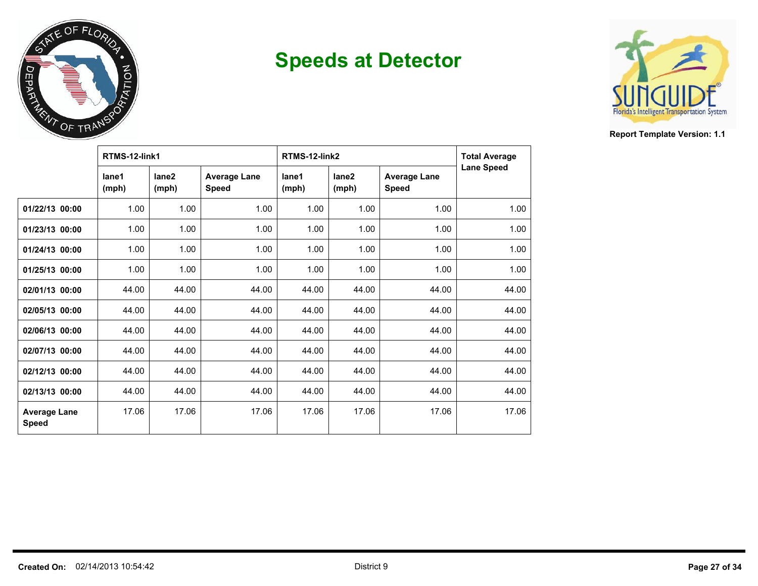



|                                     | RTMS-12-link1  |                            |                                     | RTMS-12-link2  | <b>Total Average</b>       |                                     |                   |
|-------------------------------------|----------------|----------------------------|-------------------------------------|----------------|----------------------------|-------------------------------------|-------------------|
|                                     | lane1<br>(mph) | lane <sub>2</sub><br>(mph) | <b>Average Lane</b><br><b>Speed</b> | lane1<br>(mph) | lane <sub>2</sub><br>(mph) | <b>Average Lane</b><br><b>Speed</b> | <b>Lane Speed</b> |
| 01/22/13 00:00                      | 1.00           | 1.00                       | 1.00                                | 1.00           | 1.00                       | 1.00                                | 1.00              |
| 01/23/13 00:00                      | 1.00           | 1.00                       | 1.00                                | 1.00           | 1.00                       | 1.00                                | 1.00              |
| 01/24/13 00:00                      | 1.00           | 1.00                       | 1.00                                | 1.00           | 1.00                       | 1.00                                | 1.00              |
| 01/25/13 00:00                      | 1.00           | 1.00                       | 1.00                                | 1.00           | 1.00                       | 1.00                                | 1.00              |
| 02/01/13 00:00                      | 44.00          | 44.00                      | 44.00                               | 44.00          | 44.00                      | 44.00                               | 44.00             |
| 02/05/13 00:00                      | 44.00          | 44.00                      | 44.00                               | 44.00          | 44.00                      | 44.00                               | 44.00             |
| 02/06/13 00:00                      | 44.00          | 44.00                      | 44.00                               | 44.00          | 44.00                      | 44.00                               | 44.00             |
| 02/07/13 00:00                      | 44.00          | 44.00                      | 44.00                               | 44.00          | 44.00                      | 44.00                               | 44.00             |
| 02/12/13 00:00                      | 44.00          | 44.00                      | 44.00                               | 44.00          | 44.00                      | 44.00                               | 44.00             |
| 02/13/13 00:00                      | 44.00          | 44.00                      | 44.00                               | 44.00          | 44.00                      | 44.00                               | 44.00             |
| <b>Average Lane</b><br><b>Speed</b> | 17.06          | 17.06                      | 17.06                               | 17.06          | 17.06                      | 17.06                               | 17.06             |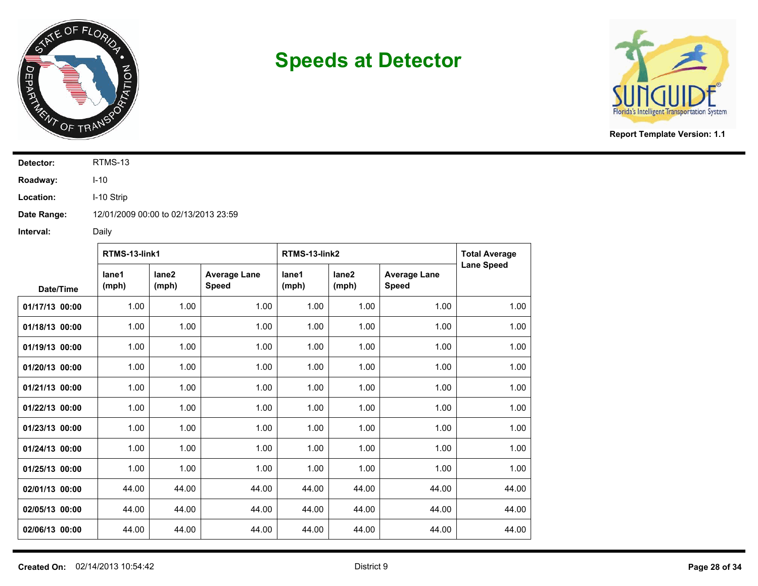



**Report Template Version: 1.1**

**Detector:** RTMS-13

**Roadway:** I-10

**Location:** I-10 Strip

**Date Range:** 12/01/2009 00:00 to 02/13/2013 23:59

|                | RTMS-13-link1  |                            |                                     | RTMS-13-link2  |                            | <b>Total Average</b>                |                   |
|----------------|----------------|----------------------------|-------------------------------------|----------------|----------------------------|-------------------------------------|-------------------|
| Date/Time      | lane1<br>(mph) | lane <sub>2</sub><br>(mph) | <b>Average Lane</b><br><b>Speed</b> | lane1<br>(mph) | lane <sub>2</sub><br>(mph) | <b>Average Lane</b><br><b>Speed</b> | <b>Lane Speed</b> |
| 01/17/13 00:00 | 1.00           | 1.00                       | 1.00                                | 1.00           | 1.00                       | 1.00                                | 1.00              |
| 01/18/13 00:00 | 1.00           | 1.00                       | 1.00                                | 1.00           | 1.00                       | 1.00                                | 1.00              |
| 01/19/13 00:00 | 1.00           | 1.00                       | 1.00                                | 1.00           | 1.00                       | 1.00                                | 1.00              |
| 01/20/13 00:00 | 1.00           | 1.00                       | 1.00                                | 1.00           | 1.00                       | 1.00                                | 1.00              |
| 01/21/13 00:00 | 1.00           | 1.00                       | 1.00                                | 1.00           | 1.00                       | 1.00                                | 1.00              |
| 01/22/13 00:00 | 1.00           | 1.00                       | 1.00                                | 1.00           | 1.00                       | 1.00                                | 1.00              |
| 01/23/13 00:00 | 1.00           | 1.00                       | 1.00                                | 1.00           | 1.00                       | 1.00                                | 1.00              |
| 01/24/13 00:00 | 1.00           | 1.00                       | 1.00                                | 1.00           | 1.00                       | 1.00                                | 1.00              |
| 01/25/13 00:00 | 1.00           | 1.00                       | 1.00                                | 1.00           | 1.00                       | 1.00                                | 1.00              |
| 02/01/13 00:00 | 44.00          | 44.00                      | 44.00                               | 44.00          | 44.00                      | 44.00                               | 44.00             |
| 02/05/13 00:00 | 44.00          | 44.00                      | 44.00                               | 44.00          | 44.00                      | 44.00                               | 44.00             |
| 02/06/13 00:00 | 44.00          | 44.00                      | 44.00                               | 44.00          | 44.00                      | 44.00                               | 44.00             |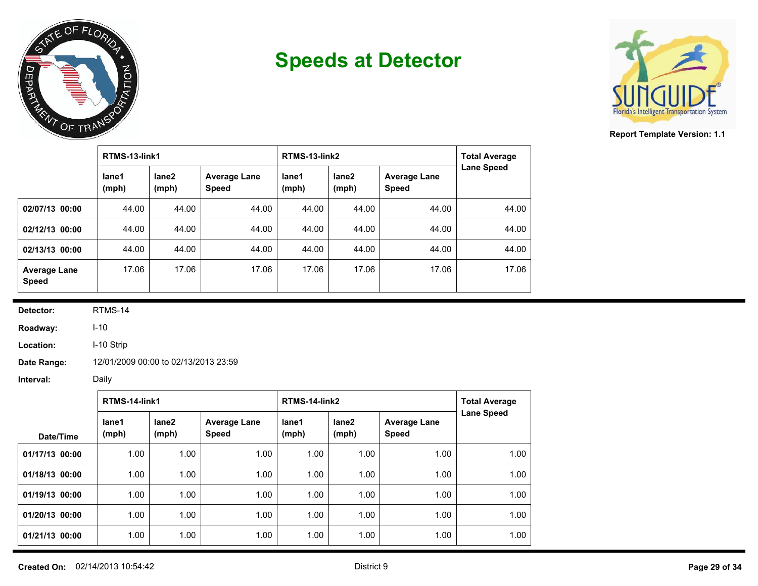



**Report Template Version: 1.1**

|                                     | RTMS-13-link1  |                |                                     | RTMS-13-link2  | <b>Total Average</b> |                                     |                   |
|-------------------------------------|----------------|----------------|-------------------------------------|----------------|----------------------|-------------------------------------|-------------------|
|                                     | lane1<br>(mph) | lane2<br>(mph) | <b>Average Lane</b><br><b>Speed</b> | lane1<br>(mph) | lane2<br>(mph)       | <b>Average Lane</b><br><b>Speed</b> | <b>Lane Speed</b> |
| 02/07/13 00:00                      | 44.00          | 44.00          | 44.00                               | 44.00          | 44.00                | 44.00                               | 44.00             |
| 02/12/13 00:00                      | 44.00          | 44.00          | 44.00                               | 44.00          | 44.00                | 44.00                               | 44.00             |
| 02/13/13 00:00                      | 44.00          | 44.00          | 44.00                               | 44.00          | 44.00                | 44.00                               | 44.00             |
| <b>Average Lane</b><br><b>Speed</b> | 17.06          | 17.06          | 17.06                               | 17.06          | 17.06                | 17.06                               | 17.06             |

**Detector:** RTMS-14

**Roadway:** I-10

**Location:** I-10 Strip

**Date Range:** 12/01/2009 00:00 to 02/13/2013 23:59

|                | RTMS-14-link1  |                            |                                     | RTMS-14-link2  | <b>Total Average</b> |                                     |                   |
|----------------|----------------|----------------------------|-------------------------------------|----------------|----------------------|-------------------------------------|-------------------|
| Date/Time      | lane1<br>(mph) | lane <sub>2</sub><br>(mph) | <b>Average Lane</b><br><b>Speed</b> | lane1<br>(mph) | lane2<br>(mph)       | <b>Average Lane</b><br><b>Speed</b> | <b>Lane Speed</b> |
| 01/17/13 00:00 | 1.00           | 1.00                       | 1.00                                | 1.00           | 1.00                 | 1.00                                | 1.00              |
| 01/18/13 00:00 | 1.00           | 1.00                       | 1.00                                | 1.00           | 1.00                 | 1.00                                | 1.00              |
| 01/19/13 00:00 | 1.00           | 1.00                       | 1.00                                | 1.00           | 1.00                 | 1.00                                | 1.00              |
| 01/20/13 00:00 | 1.00           | 1.00                       | 1.00                                | 1.00           | 1.00                 | 1.00                                | 1.00              |
| 01/21/13 00:00 | 1.00           | 1.00                       | 1.00                                | 1.00           | 1.00                 | 1.00                                | 1.00              |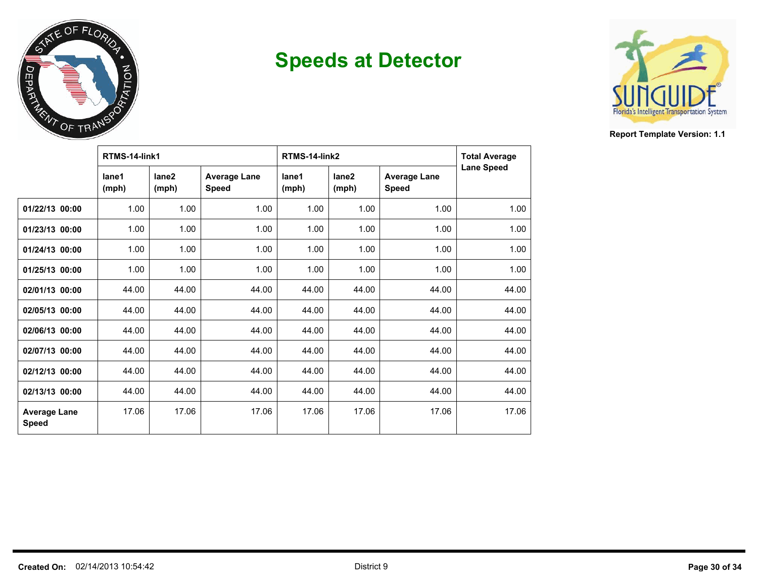



|                                     | RTMS-14-link1  |                            |                                     | RTMS-14-link2  |                            |                                     | <b>Total Average</b> |
|-------------------------------------|----------------|----------------------------|-------------------------------------|----------------|----------------------------|-------------------------------------|----------------------|
|                                     | lane1<br>(mph) | lane <sub>2</sub><br>(mph) | <b>Average Lane</b><br><b>Speed</b> | lane1<br>(mph) | lane <sub>2</sub><br>(mph) | <b>Average Lane</b><br><b>Speed</b> | <b>Lane Speed</b>    |
| 01/22/13 00:00                      | 1.00           | 1.00                       | 1.00                                | 1.00           | 1.00                       | 1.00                                | 1.00                 |
| 01/23/13 00:00                      | 1.00           | 1.00                       | 1.00                                | 1.00           | 1.00                       | 1.00                                | 1.00                 |
| 01/24/13 00:00                      | 1.00           | 1.00                       | 1.00                                | 1.00           | 1.00                       | 1.00                                | 1.00                 |
| 01/25/13 00:00                      | 1.00           | 1.00                       | 1.00                                | 1.00           | 1.00                       | 1.00                                | 1.00                 |
| 02/01/13 00:00                      | 44.00          | 44.00                      | 44.00                               | 44.00          | 44.00                      | 44.00                               | 44.00                |
| 02/05/13 00:00                      | 44.00          | 44.00                      | 44.00                               | 44.00          | 44.00                      | 44.00                               | 44.00                |
| 02/06/13 00:00                      | 44.00          | 44.00                      | 44.00                               | 44.00          | 44.00                      | 44.00                               | 44.00                |
| 02/07/13 00:00                      | 44.00          | 44.00                      | 44.00                               | 44.00          | 44.00                      | 44.00                               | 44.00                |
| 02/12/13 00:00                      | 44.00          | 44.00                      | 44.00                               | 44.00          | 44.00                      | 44.00                               | 44.00                |
| 02/13/13 00:00                      | 44.00          | 44.00                      | 44.00                               | 44.00          | 44.00                      | 44.00                               | 44.00                |
| <b>Average Lane</b><br><b>Speed</b> | 17.06          | 17.06                      | 17.06                               | 17.06          | 17.06                      | 17.06                               | 17.06                |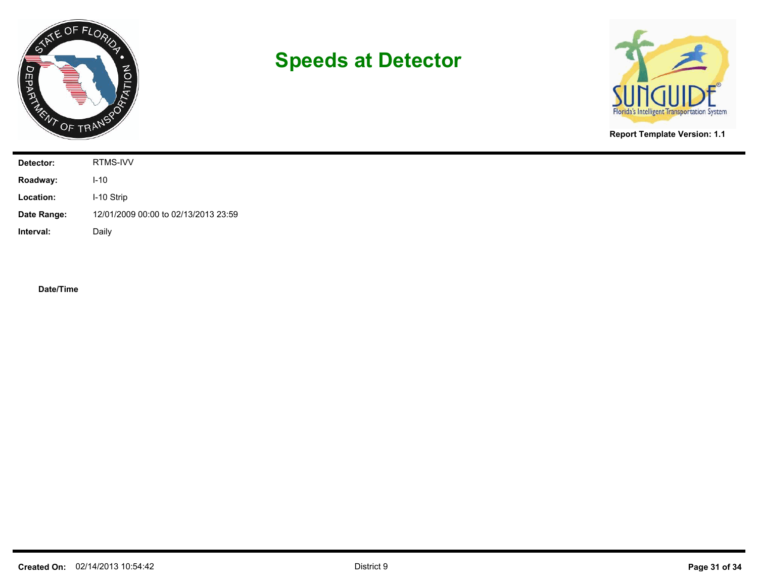



**Report Template Version: 1.1**

| Detector:   | RTMS-IVV                             |
|-------------|--------------------------------------|
| Roadway:    | $I-10$                               |
| Location:   | I-10 Strip                           |
| Date Range: | 12/01/2009 00:00 to 02/13/2013 23:59 |
| Interval:   | Daily                                |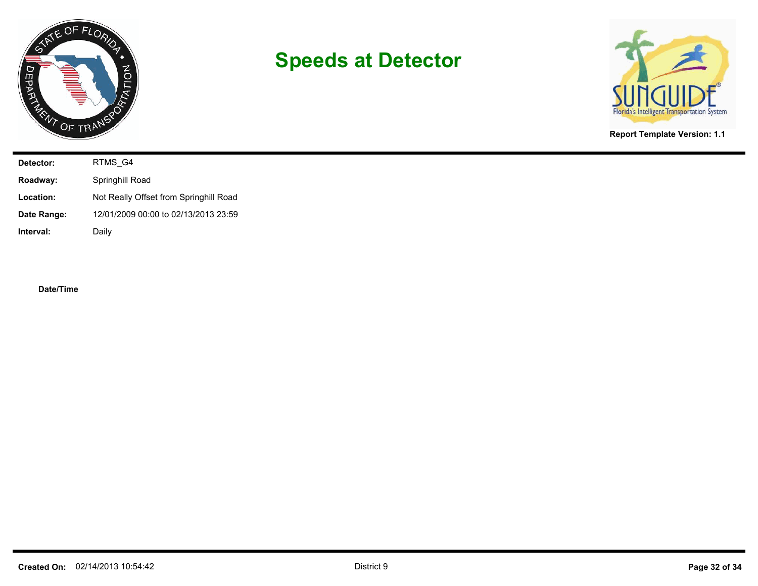



**Report Template Version: 1.1**

| Detector:   | RTMS_G4                                |
|-------------|----------------------------------------|
| Roadway:    | Springhill Road                        |
| Location:   | Not Really Offset from Springhill Road |
| Date Range: | 12/01/2009 00:00 to 02/13/2013 23:59   |
| Interval:   | Daily                                  |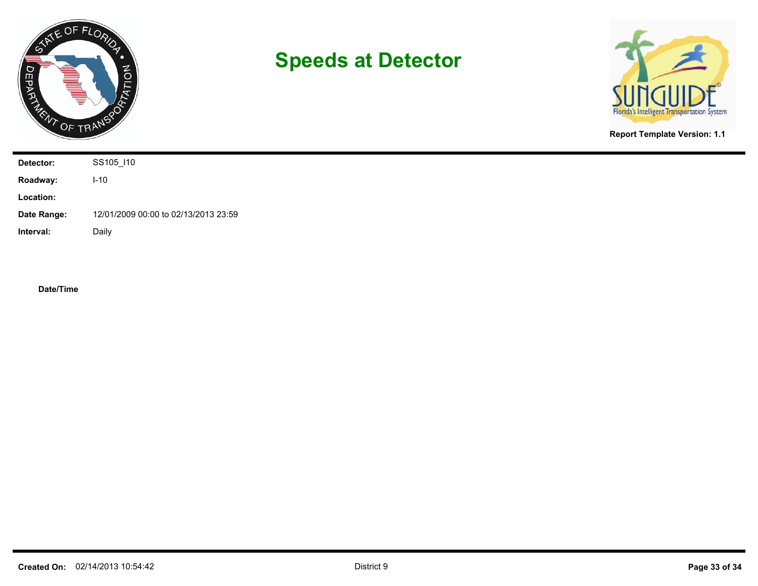



**Report Template Version: 1.1**

| Detector:   | SS105_I10                            |
|-------------|--------------------------------------|
| Roadway:    | $I-10$                               |
| Location:   |                                      |
| Date Range: | 12/01/2009 00:00 to 02/13/2013 23:59 |
| Interval:   | Daily                                |